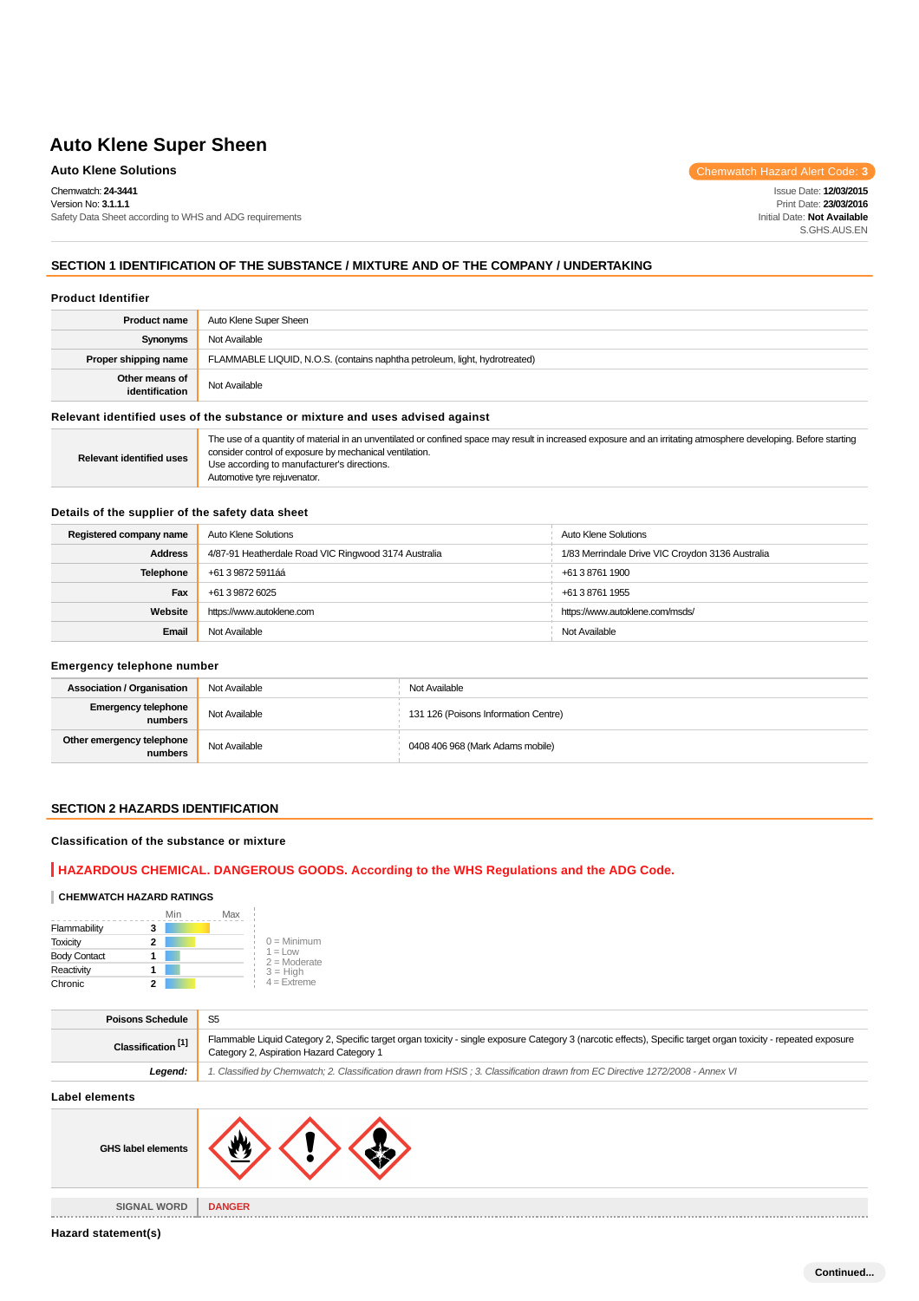Chemwatch: **24-3441** Version No: **3.1.1.1**

Safety Data Sheet according to WHS and ADG requirements

**Auto Klene Solutions** Chemwatch Hazard Alert Code: 3

Issue Date: **12/03/2015** Print Date: **23/03/2016** Initial Date: **Not Available** S.GHS.AUS.EN

## **SECTION 1 IDENTIFICATION OF THE SUBSTANCE / MIXTURE AND OF THE COMPANY / UNDERTAKING**

#### **Product Identifier**

| <b>Product name</b>              | Auto Klene Super Sheen                                                        |
|----------------------------------|-------------------------------------------------------------------------------|
| Synonyms                         | Not Available                                                                 |
| Proper shipping name             | FLAMMABLE LIQUID, N.O.S. (contains naphtha petroleum, light, hydrotreated)    |
| Other means of<br>identification | Not Available                                                                 |
|                                  | Relevant identified uses of the substance or mixture and uses advised against |
|                                  |                                                                               |

| <b>Relevant identified uses</b> | The use of a quantity of material in an unventilated or confined space may result in increased exposure and an irritating atmosphere developing. Before starting<br>consider control of exposure by mechanical ventilation.<br>Use according to manufacturer's directions.<br>Automotive tyre reiuvenator. |
|---------------------------------|------------------------------------------------------------------------------------------------------------------------------------------------------------------------------------------------------------------------------------------------------------------------------------------------------------|
|---------------------------------|------------------------------------------------------------------------------------------------------------------------------------------------------------------------------------------------------------------------------------------------------------------------------------------------------------|

#### **Details of the supplier of the safety data sheet**

| Registered company name | Auto Klene Solutions                                 | Auto Klene Solutions                             |
|-------------------------|------------------------------------------------------|--------------------------------------------------|
| <b>Address</b>          | 4/87-91 Heatherdale Road VIC Ringwood 3174 Australia | 1/83 Merrindale Drive VIC Croydon 3136 Australia |
| Telephone               | +61 3 9872 5911áá                                    | +61 3 8761 1900                                  |
| Fax                     | +61 3 9872 6025                                      | +61 3 8761 1955                                  |
| Website                 | https://www.autoklene.com                            | https://www.autoklene.com/msds/                  |
| Email                   | Not Available                                        | Not Available                                    |

## **Emergency telephone number**

| <b>Association / Organisation</b>    | Not Available | Not Available                        |
|--------------------------------------|---------------|--------------------------------------|
| Emergency telephone<br>numbers       | Not Available | 131 126 (Poisons Information Centre) |
| Other emergency telephone<br>numbers | Not Available | 0408 406 968 (Mark Adams mobile)     |

# **SECTION 2 HAZARDS IDENTIFICATION**

#### **Classification of the substance or mixture**

# **HAZARDOUS CHEMICAL. DANGEROUS GOODS. According to the WHS Regulations and the ADG Code.**

#### **CHEMWATCH HAZARD RATINGS**

|                     | Min | Max |                              |
|---------------------|-----|-----|------------------------------|
| Flammability        | 3   |     |                              |
| <b>Toxicity</b>     | 2   |     | $0 =$ Minimum                |
| <b>Body Contact</b> |     |     | $1 = 1$ OW<br>$2 =$ Moderate |
| Reactivity          |     |     | $3 = High$                   |
| Chronic             | 2   |     | $4 =$ Extreme                |

| Flammable Liquid Category 2, Specific target organ toxicity - single exposure Category 3 (narcotic effects), Specific target organ toxicity - repeated exposure<br>Classification <sup>[1]</sup><br>Category 2, Aspiration Hazard Category 1 |  |
|----------------------------------------------------------------------------------------------------------------------------------------------------------------------------------------------------------------------------------------------|--|
| 1. Classified by Chemwatch; 2. Classification drawn from HSIS; 3. Classification drawn from EC Directive 1272/2008 - Annex VI<br>Legend:                                                                                                     |  |

## **Label elements**

| GHS label elements                 |               |
|------------------------------------|---------------|
|                                    |               |
| <b>SIGNAL WORD</b><br>------------ | <b>DANGER</b> |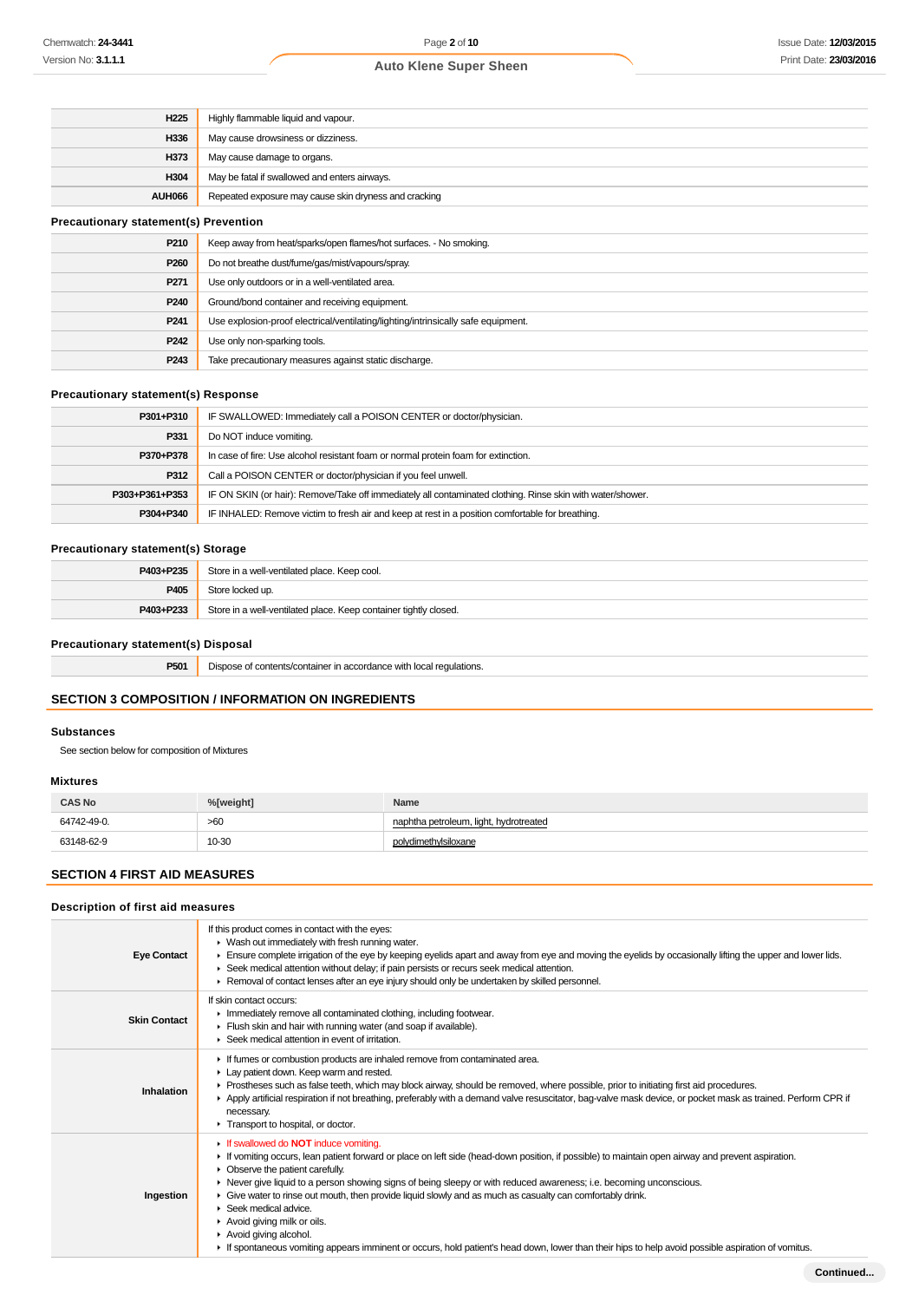| H <sub>225</sub>                             | Highly flammable liquid and vapour.                                |
|----------------------------------------------|--------------------------------------------------------------------|
| H336                                         | May cause drowsiness or dizziness.                                 |
| H373                                         | May cause damage to organs.                                        |
| H304                                         | May be fatal if swallowed and enters airways.                      |
| <b>AUH066</b>                                | Repeated exposure may cause skin dryness and cracking              |
| <b>Precautionary statement(s) Prevention</b> |                                                                    |
| P210                                         | Keep away from heat/sparks/open flames/hot surfaces. - No smoking. |
|                                              |                                                                    |

| P210             | Keep away from heat/sparks/open flames/hot surfaces. - No smoking.                |
|------------------|-----------------------------------------------------------------------------------|
| P <sub>260</sub> | Do not breathe dust/fume/gas/mist/vapours/spray.                                  |
| P <sub>271</sub> | Use only outdoors or in a well-ventilated area.                                   |
| P240             | Ground/bond container and receiving equipment.                                    |
| P <sub>241</sub> | Use explosion-proof electrical/ventilating/lighting/intrinsically safe equipment. |
| P <sub>242</sub> | Use only non-sparking tools.                                                      |
| P243             | Take precautionary measures against static discharge.                             |

#### **Precautionary statement(s) Response**

| P301+P310      | IF SWALLOWED: Immediately call a POISON CENTER or doctor/physician.                                        |
|----------------|------------------------------------------------------------------------------------------------------------|
| P331           | Do NOT induce vomiting.                                                                                    |
| P370+P378      | In case of fire: Use alcohol resistant foam or normal protein foam for extinction.                         |
| P312           | Call a POISON CENTER or doctor/physician if you feel unwell.                                               |
| P303+P361+P353 | IF ON SKIN (or hair): Remove/Take off immediately all contaminated clothing. Rinse skin with water/shower. |
| P304+P340      | IF INHALED: Remove victim to fresh air and keep at rest in a position comfortable for breathing.           |

# **Precautionary statement(s) Storage**

| P403+P235 | Store in a well-ventilated place. Keep cool.                     |
|-----------|------------------------------------------------------------------|
| P405      | Store locked up.                                                 |
| P403+P233 | Store in a well-ventilated place. Keep container tightly closed. |

# **Precautionary statement(s) Disposal**

| <b>P501</b> Dispose of contents/container in accordance with local regulations. |
|---------------------------------------------------------------------------------|
|                                                                                 |

# **SECTION 3 COMPOSITION / INFORMATION ON INGREDIENTS**

#### **Substances**

See section below for composition of Mixtures

### **Mixtures**

| <b>CAS No</b> | %[weight] | Name                                   |
|---------------|-----------|----------------------------------------|
| 64742-49-0.   | >60       | naphtha petroleum, light, hydrotreated |
| 63148-62-9    | 10-30     | rdimethvIsiloxane                      |

# **SECTION 4 FIRST AID MEASURES**

## **Description of first aid measures**

| <b>Eye Contact</b>  | If this product comes in contact with the eyes:<br>• Wash out immediately with fresh running water.<br>Ensure complete irrigation of the eye by keeping eyelids apart and away from eye and moving the eyelids by occasionally lifting the upper and lower lids.<br>► Seek medical attention without delay; if pain persists or recurs seek medical attention.<br>► Removal of contact lenses after an eye injury should only be undertaken by skilled personnel.                                                                                                                                                                                                                                                                  |
|---------------------|------------------------------------------------------------------------------------------------------------------------------------------------------------------------------------------------------------------------------------------------------------------------------------------------------------------------------------------------------------------------------------------------------------------------------------------------------------------------------------------------------------------------------------------------------------------------------------------------------------------------------------------------------------------------------------------------------------------------------------|
| <b>Skin Contact</b> | If skin contact occurs:<br>Inmediately remove all contaminated clothing, including footwear.<br>Flush skin and hair with running water (and soap if available).<br>▶ Seek medical attention in event of irritation.                                                                                                                                                                                                                                                                                                                                                                                                                                                                                                                |
| Inhalation          | If fumes or combustion products are inhaled remove from contaminated area.<br>Lay patient down. Keep warm and rested.<br>► Prostheses such as false teeth, which may block airway, should be removed, where possible, prior to initiating first aid procedures.<br>Apply artificial respiration if not breathing, preferably with a demand valve resuscitator, bag-valve mask device, or pocket mask as trained. Perform CPR if<br>necessary.<br>Transport to hospital, or doctor.                                                                                                                                                                                                                                                 |
| Ingestion           | If swallowed do <b>NOT</b> induce vomiting.<br>If vomiting occurs, lean patient forward or place on left side (head-down position, if possible) to maintain open airway and prevent aspiration.<br>• Observe the patient carefully.<br>► Never give liquid to a person showing signs of being sleepy or with reduced awareness; i.e. becoming unconscious.<br>• Give water to rinse out mouth, then provide liquid slowly and as much as casualty can comfortably drink.<br>$\blacktriangleright$ Seek medical advice.<br>Avoid giving milk or oils.<br>Avoid giving alcohol.<br>If spontaneous vomiting appears imminent or occurs, hold patient's head down, lower than their hips to help avoid possible aspiration of vomitus. |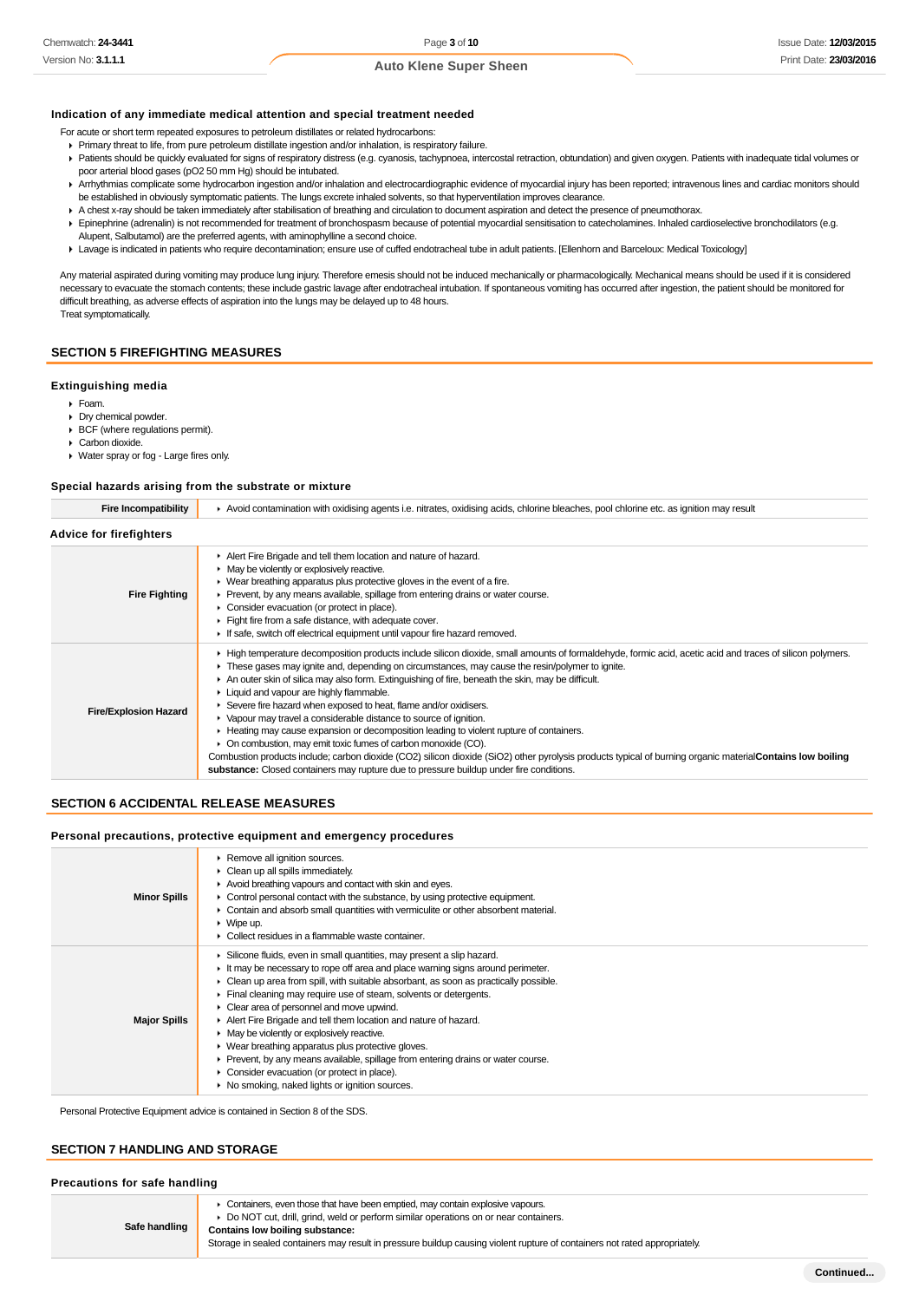## **Indication of any immediate medical attention and special treatment needed**

For acute or short term repeated exposures to petroleum distillates or related hydrocarbons:

- Primary threat to life, from pure petroleum distillate ingestion and/or inhalation, is respiratory failure.
- Patients should be quickly evaluated for signs of respiratory distress (e.g. cyanosis, tachypnoea, intercostal retraction, obtundation) and given oxygen. Patients with inadequate tidal volumes or poor arterial blood gases (pO2 50 mm Hg) should be intubated.
- ▶ Arrhythmias complicate some hydrocarbon ingestion and/or inhalation and electrocardiographic evidence of myocardial injury has been reported; intravenous lines and cardiac monitors should be established in obviously symptomatic patients. The lungs excrete inhaled solvents, so that hyperventilation improves clearance.
- A chest x-ray should be taken immediately after stabilisation of breathing and circulation to document aspiration and detect the presence of pneumothorax.
- Epinephrine (adrenalin) is not recommended for treatment of bronchospasm because of potential myocardial sensitisation to catecholamines. Inhaled cardioselective bronchodilators (e.g. Alupent, Salbutamol) are the preferred agents, with aminophylline a second choice.
- Lavage is indicated in patients who require decontamination; ensure use of cuffed endotracheal tube in adult patients. [Ellenhorn and Barceloux: Medical Toxicology]

Any material aspirated during vomiting may produce lung injury. Therefore emesis should not be induced mechanically or pharmacologically. Mechanical means should be used if it is considered necessary to evacuate the stomach contents; these include gastric lavage after endotracheal intubation. If spontaneous vomiting has occurred after ingestion, the patient should be monitored for difficult breathing, as adverse effects of aspiration into the lungs may be delayed up to 48 hours. Treat symptomatically.

#### **SECTION 5 FIREFIGHTING MEASURES**

#### **Extinguishing media**

- Foam.
- Dry chemical powder. BCF (where regulations permit).
- Carbon dioxide.
- Water spray or fog Large fires only.

#### **Special hazards arising from the substrate or mixture**

**Fire Incompatibility Avoid contamination with oxidising agents i.e. nitrates, oxidising acids, chlorine bleaches, pool chlorine etc. as ignition may result Advice for firefighters Fire Fighting** Alert Fire Brigade and tell them location and nature of hazard. ► May be violently or explosively reactive. Wear breathing apparatus plus protective gloves in the event of a fire. Prevent, by any means available, spillage from entering drains or water course. Consider evacuation (or protect in place). Fight fire from a safe distance, with adequate cover. If safe, switch off electrical equipment until vapour fire hazard removed. **Fire/Explosion Hazard** High temperature decomposition products include silicon dioxide, small amounts of formaldehyde, formic acid, acetic acid and traces of silicon polymers. These gases may ignite and, depending on circumstances, may cause the resin/polymer to ignite. An outer skin of silica may also form. Extinguishing of fire, beneath the skin, may be difficult. **Liquid and vapour are highly flammable.** Severe fire hazard when exposed to heat, flame and/or oxidisers. Vapour may travel a considerable distance to source of ignition. Heating may cause expansion or decomposition leading to violent rupture of containers. ▶ On combustion, may emit toxic fumes of carbon monoxide (CO). Combustion products include:, carbon dioxide (CO2), silicon dioxide (SiO2), other pyrolysis products typical of burning organic material**Contains low boiling**

**substance:** Closed containers may rupture due to pressure buildup under fire conditions.

#### **SECTION 6 ACCIDENTAL RELEASE MEASURES**

#### **Personal precautions, protective equipment and emergency procedures**

| <b>Minor Spills</b> | Remove all ignition sources.<br>$\triangleright$ Clean up all spills immediately.<br>Avoid breathing vapours and contact with skin and eyes.<br>• Control personal contact with the substance, by using protective equipment.<br>• Contain and absorb small quantities with vermiculite or other absorbent material.<br>$\triangleright$ Wipe up.<br>• Collect residues in a flammable waste container.                                                                                                                                                                                                                                                                                                                                                                                                    |
|---------------------|------------------------------------------------------------------------------------------------------------------------------------------------------------------------------------------------------------------------------------------------------------------------------------------------------------------------------------------------------------------------------------------------------------------------------------------------------------------------------------------------------------------------------------------------------------------------------------------------------------------------------------------------------------------------------------------------------------------------------------------------------------------------------------------------------------|
| <b>Major Spills</b> | Silicone fluids, even in small quantities, may present a slip hazard.<br>$\blacktriangleright$ It may be necessary to rope off area and place warning signs around perimeter.<br>$\triangleright$ Clean up area from spill, with suitable absorbant, as soon as practically possible.<br>Final cleaning may require use of steam, solvents or detergents.<br>$\triangleright$ Clear area of personnel and move upwind.<br>Alert Fire Brigade and tell them location and nature of hazard.<br>$\blacktriangleright$ May be violently or explosively reactive.<br>• Wear breathing apparatus plus protective gloves.<br>▶ Prevent, by any means available, spillage from entering drains or water course.<br>• Consider evacuation (or protect in place).<br>• No smoking, naked lights or ignition sources. |

Personal Protective Equipment advice is contained in Section 8 of the SDS.

#### **SECTION 7 HANDLING AND STORAGE**

| Precautions for safe handling |  |  |
|-------------------------------|--|--|
|-------------------------------|--|--|

**Safe handling** Containers, even those that have been emptied, may contain explosive vapours. Do NOT cut, drill, grind, weld or perform similar operations on or near containers. **Contains low boiling substance:** Storage in sealed containers may result in pressure buildup causing violent rupture of containers not rated appropriately.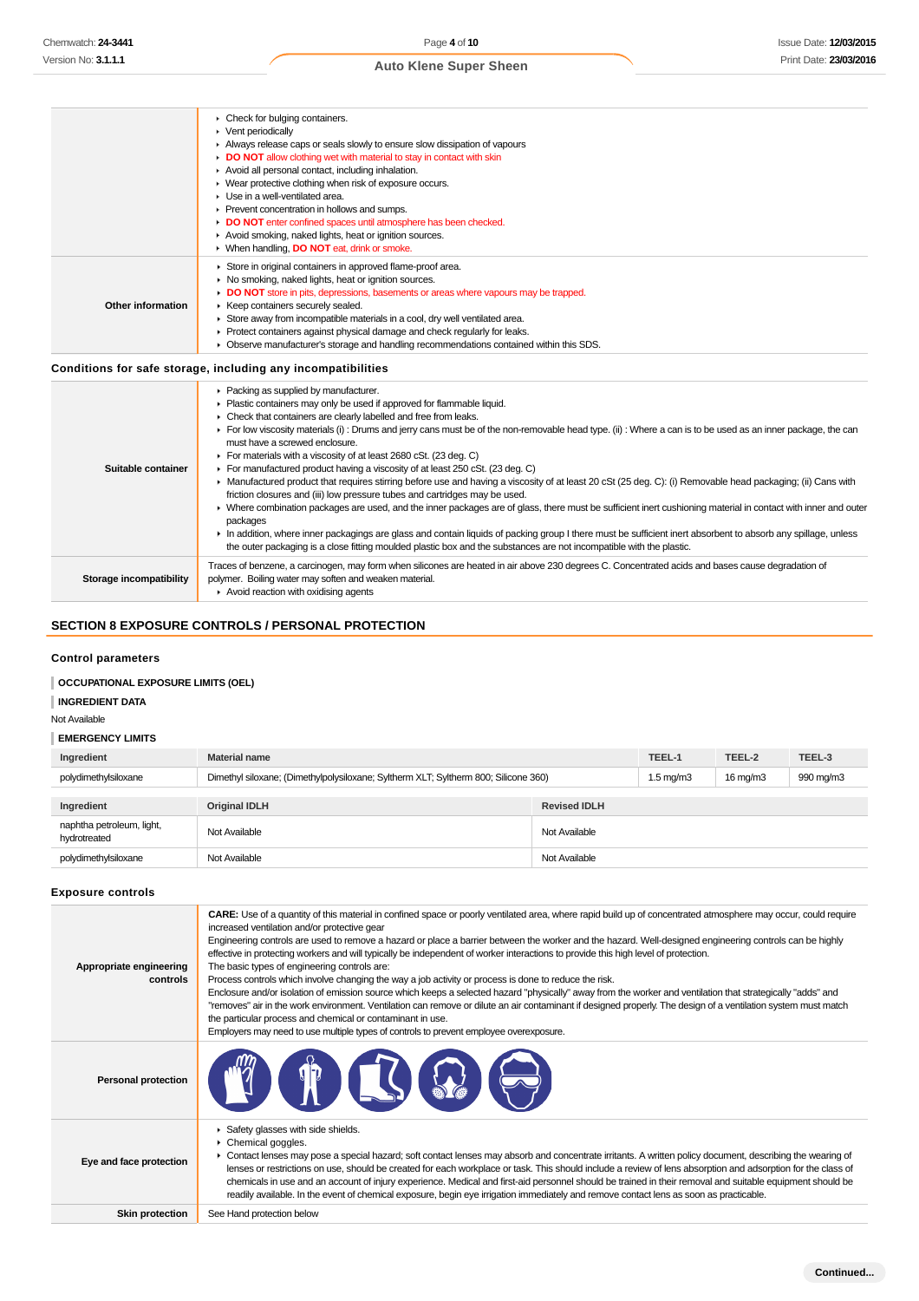|                         | $\triangleright$ Vent periodically<br>Always release caps or seals slowly to ensure slow dissipation of vapours<br>DO NOT allow clothing wet with material to stay in contact with skin<br>Avoid all personal contact, including inhalation.<br>• Wear protective clothing when risk of exposure occurs.<br>• Use in a well-ventilated area.<br>▶ Prevent concentration in hollows and sumps.<br>DO NOT enter confined spaces until atmosphere has been checked.<br>Avoid smoking, naked lights, heat or ignition sources.<br>▶ When handling, DO NOT eat, drink or smoke.                                                                                                                                                                                                                                                                                                                                                                                                                                                                                                                                                                                                                                                                                   |
|-------------------------|--------------------------------------------------------------------------------------------------------------------------------------------------------------------------------------------------------------------------------------------------------------------------------------------------------------------------------------------------------------------------------------------------------------------------------------------------------------------------------------------------------------------------------------------------------------------------------------------------------------------------------------------------------------------------------------------------------------------------------------------------------------------------------------------------------------------------------------------------------------------------------------------------------------------------------------------------------------------------------------------------------------------------------------------------------------------------------------------------------------------------------------------------------------------------------------------------------------------------------------------------------------|
| Other information       | Store in original containers in approved flame-proof area.<br>▶ No smoking, naked lights, heat or ignition sources.<br>DO NOT store in pits, depressions, basements or areas where vapours may be trapped.<br>▶ Keep containers securely sealed.<br>Store away from incompatible materials in a cool, dry well ventilated area.<br>▶ Protect containers against physical damage and check regularly for leaks.<br>• Observe manufacturer's storage and handling recommendations contained within this SDS.<br>Conditions for safe storage, including any incompatibilities                                                                                                                                                                                                                                                                                                                                                                                                                                                                                                                                                                                                                                                                                   |
| Suitable container      | Packing as supplied by manufacturer.<br>Plastic containers may only be used if approved for flammable liquid.<br>• Check that containers are clearly labelled and free from leaks.<br>For low viscosity materials (i) : Drums and jerry cans must be of the non-removable head type. (ii) : Where a can is to be used as an inner package, the can<br>must have a screwed enclosure.<br>For materials with a viscosity of at least 2680 cSt. (23 deg. C)<br>For manufactured product having a viscosity of at least 250 cSt. (23 deg. C)<br>• Manufactured product that requires stirring before use and having a viscosity of at least 20 cSt (25 deg. C): (i) Removable head packaging; (ii) Cans with<br>friction closures and (iii) low pressure tubes and cartridges may be used.<br>> Where combination packages are used, and the inner packages are of glass, there must be sufficient inert cushioning material in contact with inner and outer<br>packages<br>In addition, where inner packagings are glass and contain liquids of packing group I there must be sufficient inert absorbent to absorb any spillage, unless<br>the outer packaging is a close fitting moulded plastic box and the substances are not incompatible with the plastic. |
| Storage incompatibility | Traces of benzene, a carcinogen, may form when silicones are heated in air above 230 degrees C. Concentrated acids and bases cause degradation of<br>polymer. Boiling water may soften and weaken material.<br>$\blacktriangleright$ Avoid reaction with oxidising agents                                                                                                                                                                                                                                                                                                                                                                                                                                                                                                                                                                                                                                                                                                                                                                                                                                                                                                                                                                                    |

# **SECTION 8 EXPOSURE CONTROLS / PERSONAL PROTECTION**

Check for bulging containers.

## **Control parameters**

# **OCCUPATIONAL EXPOSURE LIMITS (OEL)**

**INGREDIENT DATA**

Not Available

### **EMERGENCY LIMITS**

| Ingredient                                | <b>Material name</b>                                                                |                     | TEEL-1             | TEEL-2            | TEEL-3    |
|-------------------------------------------|-------------------------------------------------------------------------------------|---------------------|--------------------|-------------------|-----------|
| polydimethylsiloxane                      | Dimethyl siloxane; (Dimethylpolysiloxane; Syltherm XLT; Syltherm 800; Silicone 360) |                     | $1.5 \text{ mg/m}$ | $16 \text{ mg/m}$ | 990 mg/m3 |
|                                           |                                                                                     |                     |                    |                   |           |
| Ingredient                                | <b>Original IDLH</b>                                                                | <b>Revised IDLH</b> |                    |                   |           |
| naphtha petroleum, light,<br>hydrotreated | Not Available                                                                       | Not Available       |                    |                   |           |
| polydimethylsiloxane                      | Not Available                                                                       | Not Available       |                    |                   |           |

#### **Exposure controls**

| Appropriate engineering<br>controls | CARE: Use of a quantity of this material in confined space or poorly ventilated area, where rapid build up of concentrated atmosphere may occur, could require<br>increased ventilation and/or protective gear<br>Engineering controls are used to remove a hazard or place a barrier between the worker and the hazard. Well-designed engineering controls can be highly<br>effective in protecting workers and will typically be independent of worker interactions to provide this high level of protection.<br>The basic types of engineering controls are:<br>Process controls which involve changing the way a job activity or process is done to reduce the risk.<br>Enclosure and/or isolation of emission source which keeps a selected hazard "physically" away from the worker and ventilation that strategically "adds" and<br>"removes" air in the work environment. Ventilation can remove or dilute an air contaminant if designed properly. The design of a ventilation system must match<br>the particular process and chemical or contaminant in use.<br>Employers may need to use multiple types of controls to prevent employee overexposure. |
|-------------------------------------|-------------------------------------------------------------------------------------------------------------------------------------------------------------------------------------------------------------------------------------------------------------------------------------------------------------------------------------------------------------------------------------------------------------------------------------------------------------------------------------------------------------------------------------------------------------------------------------------------------------------------------------------------------------------------------------------------------------------------------------------------------------------------------------------------------------------------------------------------------------------------------------------------------------------------------------------------------------------------------------------------------------------------------------------------------------------------------------------------------------------------------------------------------------------|
| <b>Personal protection</b>          |                                                                                                                                                                                                                                                                                                                                                                                                                                                                                                                                                                                                                                                                                                                                                                                                                                                                                                                                                                                                                                                                                                                                                                   |
| Eye and face protection             | Safety glasses with side shields.<br>Chemical goggles.<br>• Contact lenses may pose a special hazard; soft contact lenses may absorb and concentrate irritants. A written policy document, describing the wearing of<br>lenses or restrictions on use, should be created for each workplace or task. This should include a review of lens absorption and adsorption for the class of<br>chemicals in use and an account of injury experience. Medical and first-aid personnel should be trained in their removal and suitable equipment should be<br>readily available. In the event of chemical exposure, begin eye irrigation immediately and remove contact lens as soon as practicable.                                                                                                                                                                                                                                                                                                                                                                                                                                                                       |
| <b>Skin protection</b>              | See Hand protection below                                                                                                                                                                                                                                                                                                                                                                                                                                                                                                                                                                                                                                                                                                                                                                                                                                                                                                                                                                                                                                                                                                                                         |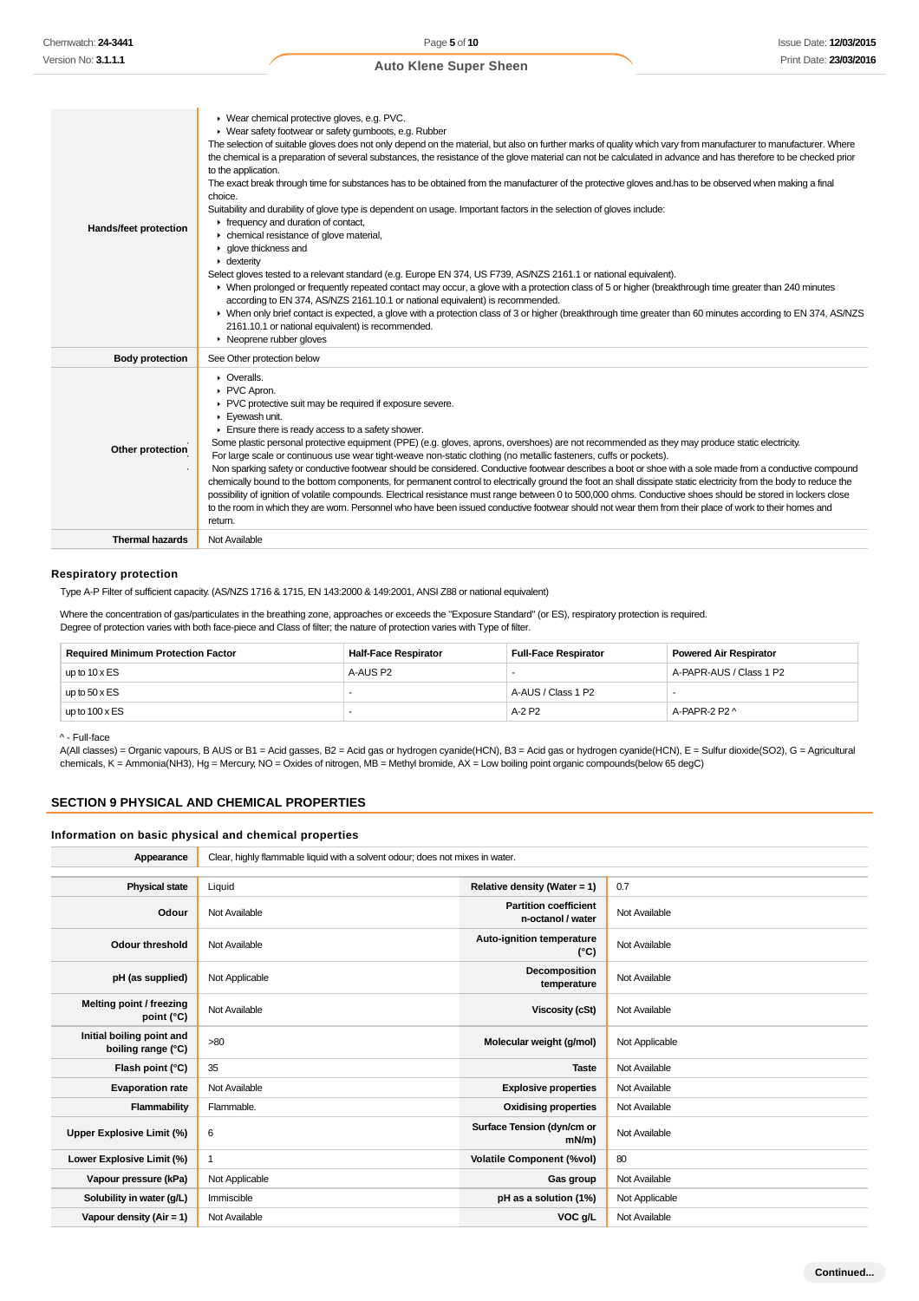| Hands/feet protection  | ▶ Wear chemical protective gloves, e.g. PVC.<br>▶ Wear safety footwear or safety gumboots, e.g. Rubber<br>The selection of suitable gloves does not only depend on the material, but also on further marks of quality which vary from manufacturer to manufacturer. Where<br>the chemical is a preparation of several substances, the resistance of the glove material can not be calculated in advance and has therefore to be checked prior<br>to the application.<br>The exact break through time for substances has to be obtained from the manufacturer of the protective gloves and has to be observed when making a final<br>choice.<br>Suitability and durability of glove type is dependent on usage. Important factors in the selection of gloves include:<br>$\triangleright$ frequency and duration of contact,<br>• chemical resistance of glove material,<br>• glove thickness and<br>$\cdot$ dexterity<br>Select gloves tested to a relevant standard (e.g. Europe EN 374, US F739, AS/NZS 2161.1 or national equivalent).<br>> When prolonged or frequently repeated contact may occur, a glove with a protection class of 5 or higher (breakthrough time greater than 240 minutes<br>according to EN 374, AS/NZS 2161.10.1 or national equivalent) is recommended.<br>• When only brief contact is expected, a glove with a protection class of 3 or higher (breakthrough time greater than 60 minutes according to EN 374, AS/NZS<br>2161.10.1 or national equivalent) is recommended.<br>$\triangleright$ Neoprene rubber gloves |
|------------------------|-----------------------------------------------------------------------------------------------------------------------------------------------------------------------------------------------------------------------------------------------------------------------------------------------------------------------------------------------------------------------------------------------------------------------------------------------------------------------------------------------------------------------------------------------------------------------------------------------------------------------------------------------------------------------------------------------------------------------------------------------------------------------------------------------------------------------------------------------------------------------------------------------------------------------------------------------------------------------------------------------------------------------------------------------------------------------------------------------------------------------------------------------------------------------------------------------------------------------------------------------------------------------------------------------------------------------------------------------------------------------------------------------------------------------------------------------------------------------------------------------------------------------------------------------------|
| <b>Body protection</b> | See Other protection below                                                                                                                                                                                                                                                                                                                                                                                                                                                                                                                                                                                                                                                                                                                                                                                                                                                                                                                                                                                                                                                                                                                                                                                                                                                                                                                                                                                                                                                                                                                          |
| Other protection       | $\triangleright$ Overalls.<br>PVC Apron.<br>PVC protective suit may be required if exposure severe.<br>Eyewash unit.<br>Ensure there is ready access to a safety shower.<br>Some plastic personal protective equipment (PPE) (e.g. gloves, aprons, overshoes) are not recommended as they may produce static electricity.<br>For large scale or continuous use wear tight-weave non-static clothing (no metallic fasteners, cuffs or pockets).<br>Non sparking safety or conductive footwear should be considered. Conductive footwear describes a boot or shoe with a sole made from a conductive compound<br>chemically bound to the bottom components, for permanent control to electrically ground the foot an shall dissipate static electricity from the body to reduce the<br>possibility of ignition of volatile compounds. Electrical resistance must range between 0 to 500,000 ohms. Conductive shoes should be stored in lockers close<br>to the room in which they are worn. Personnel who have been issued conductive footwear should not wear them from their place of work to their homes and<br>return.                                                                                                                                                                                                                                                                                                                                                                                                                            |
| <b>Thermal hazards</b> | Not Available                                                                                                                                                                                                                                                                                                                                                                                                                                                                                                                                                                                                                                                                                                                                                                                                                                                                                                                                                                                                                                                                                                                                                                                                                                                                                                                                                                                                                                                                                                                                       |

#### **Respiratory protection**

Type A-P Filter of sufficient capacity. (AS/NZS 1716 & 1715, EN 143:2000 & 149:2001, ANSI Z88 or national equivalent)

Where the concentration of gas/particulates in the breathing zone, approaches or exceeds the "Exposure Standard" (or ES), respiratory protection is required. Degree of protection varies with both face-piece and Class of filter; the nature of protection varies with Type of filter.

| <b>Required Minimum Protection Factor</b> | <b>Half-Face Respirator</b> | <b>Full-Face Respirator</b> | Powered Air Respirator  |
|-------------------------------------------|-----------------------------|-----------------------------|-------------------------|
| up to $10 \times ES$                      | A-AUS P2                    |                             | A-PAPR-AUS / Class 1 P2 |
| up to $50 \times ES$                      |                             | A-AUS / Class 1 P2          |                         |
| up to $100 \times ES$                     | -                           | A-2 P2                      | A-PAPR-2 P2 ^           |

^ - Full-face

A(All classes) = Organic vapours, B AUS or B1 = Acid gasses, B2 = Acid gas or hydrogen cyanide(HCN), B3 = Acid gas or hydrogen cyanide(HCN), E = Sulfur dioxide(SO2), G = Agricultural chemicals, K = Ammonia(NH3), Hg = Mercury, NO = Oxides of nitrogen, MB = Methyl bromide, AX = Low boiling point organic compounds(below 65 degC)

## **SECTION 9 PHYSICAL AND CHEMICAL PROPERTIES**

## **Information on basic physical and chemical properties**

| Appearance                                      | Clear, highly flammable liquid with a solvent odour; does not mixes in water. |                                                   |                |
|-------------------------------------------------|-------------------------------------------------------------------------------|---------------------------------------------------|----------------|
|                                                 |                                                                               |                                                   |                |
| <b>Physical state</b>                           | Liquid                                                                        | Relative density (Water = 1)                      | 0.7            |
| Odour                                           | Not Available                                                                 | <b>Partition coefficient</b><br>n-octanol / water | Not Available  |
| <b>Odour threshold</b>                          | Not Available                                                                 | Auto-ignition temperature<br>(°C)                 | Not Available  |
| pH (as supplied)                                | Not Applicable                                                                | Decomposition<br>temperature                      | Not Available  |
| Melting point / freezing<br>point (°C)          | Not Available                                                                 | <b>Viscosity (cSt)</b>                            | Not Available  |
| Initial boiling point and<br>boiling range (°C) | >80                                                                           | Molecular weight (g/mol)                          | Not Applicable |
| Flash point (°C)                                | 35                                                                            | <b>Taste</b>                                      | Not Available  |
| <b>Evaporation rate</b>                         | Not Available                                                                 | <b>Explosive properties</b>                       | Not Available  |
| Flammability                                    | Flammable.                                                                    | <b>Oxidising properties</b>                       | Not Available  |
| Upper Explosive Limit (%)                       | 6                                                                             | Surface Tension (dyn/cm or<br>$mN/m$ )            | Not Available  |
| Lower Explosive Limit (%)                       | 1                                                                             | <b>Volatile Component (%vol)</b>                  | 80             |
| Vapour pressure (kPa)                           | Not Applicable                                                                | Gas group                                         | Not Available  |
| Solubility in water (g/L)                       | Immiscible                                                                    | pH as a solution (1%)                             | Not Applicable |
| Vapour density $(Air = 1)$                      | Not Available                                                                 | VOC g/L                                           | Not Available  |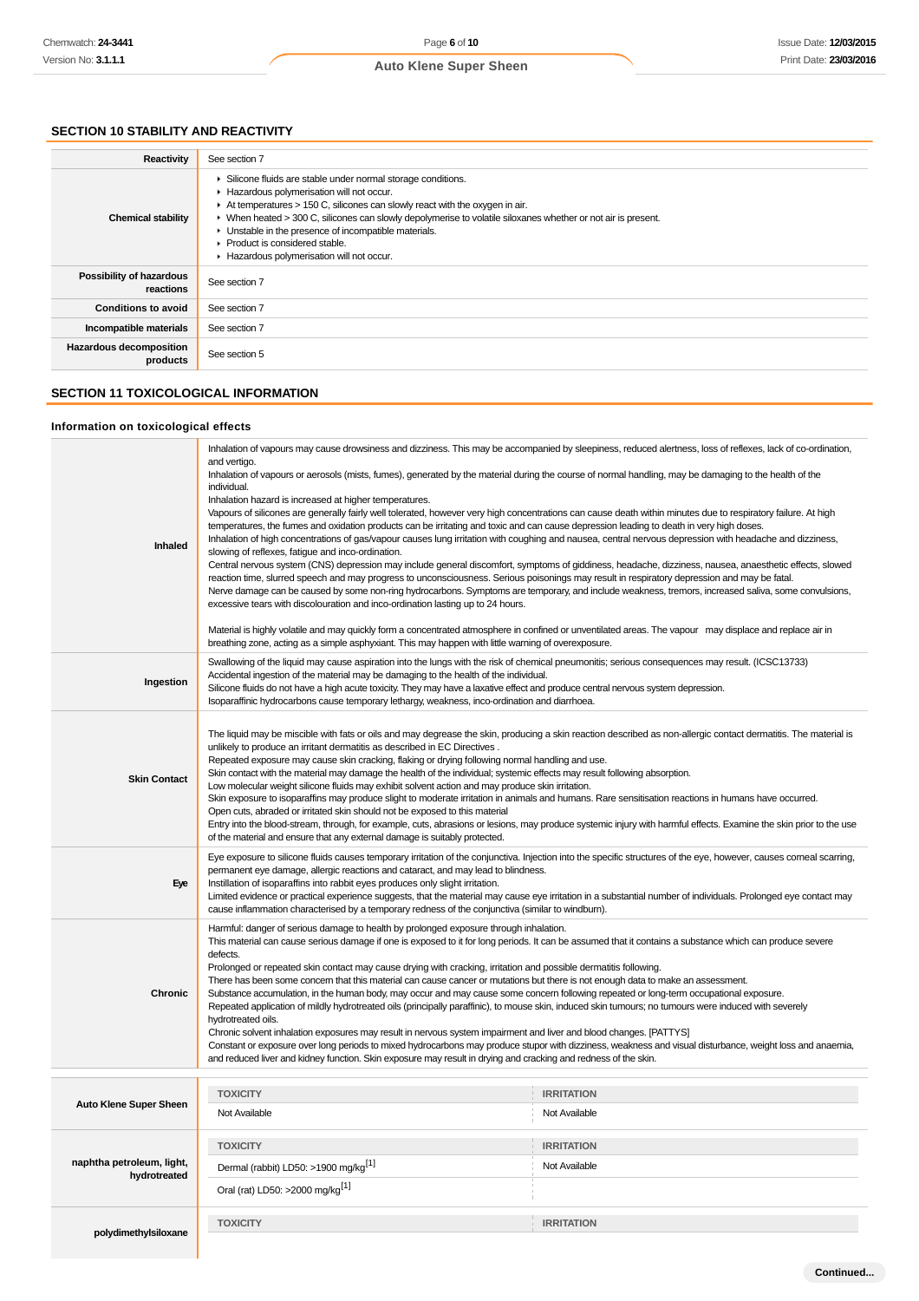# **SECTION 10 STABILITY AND REACTIVITY**

| Reactivity                            | See section 7                                                                                                                                                                                                                                                                                                                                                                                                                                                                          |
|---------------------------------------|----------------------------------------------------------------------------------------------------------------------------------------------------------------------------------------------------------------------------------------------------------------------------------------------------------------------------------------------------------------------------------------------------------------------------------------------------------------------------------------|
| <b>Chemical stability</b>             | • Silicone fluids are stable under normal storage conditions.<br>Hazardous polymerisation will not occur.<br>$\triangleright$ At temperatures > 150 C, silicones can slowly react with the oxygen in air.<br>► When heated > 300 C, silicones can slowly depolymerise to volatile siloxanes whether or not air is present.<br>• Unstable in the presence of incompatible materials.<br>$\blacktriangleright$ Product is considered stable.<br>Hazardous polymerisation will not occur. |
| Possibility of hazardous<br>reactions | See section 7                                                                                                                                                                                                                                                                                                                                                                                                                                                                          |
| <b>Conditions to avoid</b>            | See section 7                                                                                                                                                                                                                                                                                                                                                                                                                                                                          |
| Incompatible materials                | See section 7                                                                                                                                                                                                                                                                                                                                                                                                                                                                          |
| Hazardous decomposition<br>products   | See section 5                                                                                                                                                                                                                                                                                                                                                                                                                                                                          |

#### **SECTION 11 TOXICOLOGICAL INFORMATION**

# **Information on toxicological effects**

| Inhaled                                   | Inhalation of vapours may cause drowsiness and dizziness. This may be accompanied by sleepiness, reduced alertness, loss of reflexes, lack of co-ordination,<br>and vertigo.<br>Inhalation of vapours or aerosols (mists, fumes), generated by the material during the course of normal handling, may be damaging to the health of the<br>individual.<br>Inhalation hazard is increased at higher temperatures.<br>Vapours of silicones are generally fairly well tolerated, however very high concentrations can cause death within minutes due to respiratory failure. At high<br>temperatures, the fumes and oxidation products can be irritating and toxic and can cause depression leading to death in very high doses.<br>Inhalation of high concentrations of gas/vapour causes lung irritation with coughing and nausea, central nervous depression with headache and dizziness,<br>slowing of reflexes, fatigue and inco-ordination.<br>Central nervous system (CNS) depression may include general discomfort, symptoms of giddiness, headache, dizziness, nausea, anaesthetic effects, slowed<br>reaction time, slurred speech and may progress to unconsciousness. Serious poisonings may result in respiratory depression and may be fatal.<br>Nerve damage can be caused by some non-ring hydrocarbons. Symptoms are temporary, and include weakness, tremors, increased saliva, some convulsions,<br>excessive tears with discolouration and inco-ordination lasting up to 24 hours.<br>Material is highly volatile and may quickly form a concentrated atmosphere in confined or unventilated areas. The vapour may displace and replace air in<br>breathing zone, acting as a simple asphyxiant. This may happen with little warning of overexposure. |                                    |  |
|-------------------------------------------|------------------------------------------------------------------------------------------------------------------------------------------------------------------------------------------------------------------------------------------------------------------------------------------------------------------------------------------------------------------------------------------------------------------------------------------------------------------------------------------------------------------------------------------------------------------------------------------------------------------------------------------------------------------------------------------------------------------------------------------------------------------------------------------------------------------------------------------------------------------------------------------------------------------------------------------------------------------------------------------------------------------------------------------------------------------------------------------------------------------------------------------------------------------------------------------------------------------------------------------------------------------------------------------------------------------------------------------------------------------------------------------------------------------------------------------------------------------------------------------------------------------------------------------------------------------------------------------------------------------------------------------------------------------------------------------------------------------------------------------------------------------------|------------------------------------|--|
| Ingestion                                 | Swallowing of the liquid may cause aspiration into the lungs with the risk of chemical pneumonitis; serious consequences may result. (ICSC13733)<br>Accidental ingestion of the material may be damaging to the health of the individual.<br>Silicone fluids do not have a high acute toxicity. They may have a laxative effect and produce central nervous system depression.<br>Isoparaffinic hydrocarbons cause temporary lethargy, weakness, inco-ordination and diarrhoea.                                                                                                                                                                                                                                                                                                                                                                                                                                                                                                                                                                                                                                                                                                                                                                                                                                                                                                                                                                                                                                                                                                                                                                                                                                                                                        |                                    |  |
| <b>Skin Contact</b>                       | The liquid may be miscible with fats or oils and may degrease the skin, producing a skin reaction described as non-allergic contact dermatitis. The material is<br>unlikely to produce an irritant dermatitis as described in EC Directives.<br>Repeated exposure may cause skin cracking, flaking or drying following normal handling and use.<br>Skin contact with the material may damage the health of the individual; systemic effects may result following absorption.<br>Low molecular weight silicone fluids may exhibit solvent action and may produce skin irritation.<br>Skin exposure to isoparaffins may produce slight to moderate irritation in animals and humans. Rare sensitisation reactions in humans have occurred.<br>Open cuts, abraded or irritated skin should not be exposed to this material<br>Entry into the blood-stream, through, for example, cuts, abrasions or lesions, may produce systemic injury with harmful effects. Examine the skin prior to the use<br>of the material and ensure that any external damage is suitably protected.                                                                                                                                                                                                                                                                                                                                                                                                                                                                                                                                                                                                                                                                                            |                                    |  |
| Eye                                       | Eye exposure to silicone fluids causes temporary irritation of the conjunctiva. Injection into the specific structures of the eye, however, causes corneal scarring,<br>permanent eye damage, allergic reactions and cataract, and may lead to blindness.<br>Instillation of isoparaffins into rabbit eyes produces only slight irritation.<br>Limited evidence or practical experience suggests, that the material may cause eye irritation in a substantial number of individuals. Prolonged eye contact may<br>cause inflammation characterised by a temporary redness of the conjunctiva (similar to windburn).                                                                                                                                                                                                                                                                                                                                                                                                                                                                                                                                                                                                                                                                                                                                                                                                                                                                                                                                                                                                                                                                                                                                                    |                                    |  |
| <b>Chronic</b>                            | Harmful: danger of serious damage to health by prolonged exposure through inhalation.<br>This material can cause serious damage if one is exposed to it for long periods. It can be assumed that it contains a substance which can produce severe<br>defects.<br>Prolonged or repeated skin contact may cause drying with cracking, irritation and possible dermatitis following.<br>There has been some concern that this material can cause cancer or mutations but there is not enough data to make an assessment.<br>Substance accumulation, in the human body, may occur and may cause some concern following repeated or long-term occupational exposure.<br>Repeated application of mildly hydrotreated oils (principally paraffinic), to mouse skin, induced skin tumours; no tumours were induced with severely<br>hydrotreated oils.<br>Chronic solvent inhalation exposures may result in nervous system impairment and liver and blood changes. [PATTYS]<br>Constant or exposure over long periods to mixed hydrocarbons may produce stupor with dizziness, weakness and visual disturbance, weight loss and anaemia,<br>and reduced liver and kidney function. Skin exposure may result in drying and cracking and redness of the skin.                                                                                                                                                                                                                                                                                                                                                                                                                                                                                                                   |                                    |  |
|                                           | <b>TOXICITY</b>                                                                                                                                                                                                                                                                                                                                                                                                                                                                                                                                                                                                                                                                                                                                                                                                                                                                                                                                                                                                                                                                                                                                                                                                                                                                                                                                                                                                                                                                                                                                                                                                                                                                                                                                                        | <b>IRRITATION</b>                  |  |
| Auto Klene Super Sheen                    | Not Available                                                                                                                                                                                                                                                                                                                                                                                                                                                                                                                                                                                                                                                                                                                                                                                                                                                                                                                                                                                                                                                                                                                                                                                                                                                                                                                                                                                                                                                                                                                                                                                                                                                                                                                                                          | Not Available                      |  |
| naphtha petroleum, light,<br>hydrotreated | <b>TOXICITY</b><br>Dermal (rabbit) LD50: >1900 mg/kg <sup>[1]</sup><br>Oral (rat) LD50: >2000 mg/kg <sup>[1]</sup>                                                                                                                                                                                                                                                                                                                                                                                                                                                                                                                                                                                                                                                                                                                                                                                                                                                                                                                                                                                                                                                                                                                                                                                                                                                                                                                                                                                                                                                                                                                                                                                                                                                     | <b>IRRITATION</b><br>Not Available |  |
|                                           | <b>TOXICITY</b>                                                                                                                                                                                                                                                                                                                                                                                                                                                                                                                                                                                                                                                                                                                                                                                                                                                                                                                                                                                                                                                                                                                                                                                                                                                                                                                                                                                                                                                                                                                                                                                                                                                                                                                                                        | <b>IRRITATION</b>                  |  |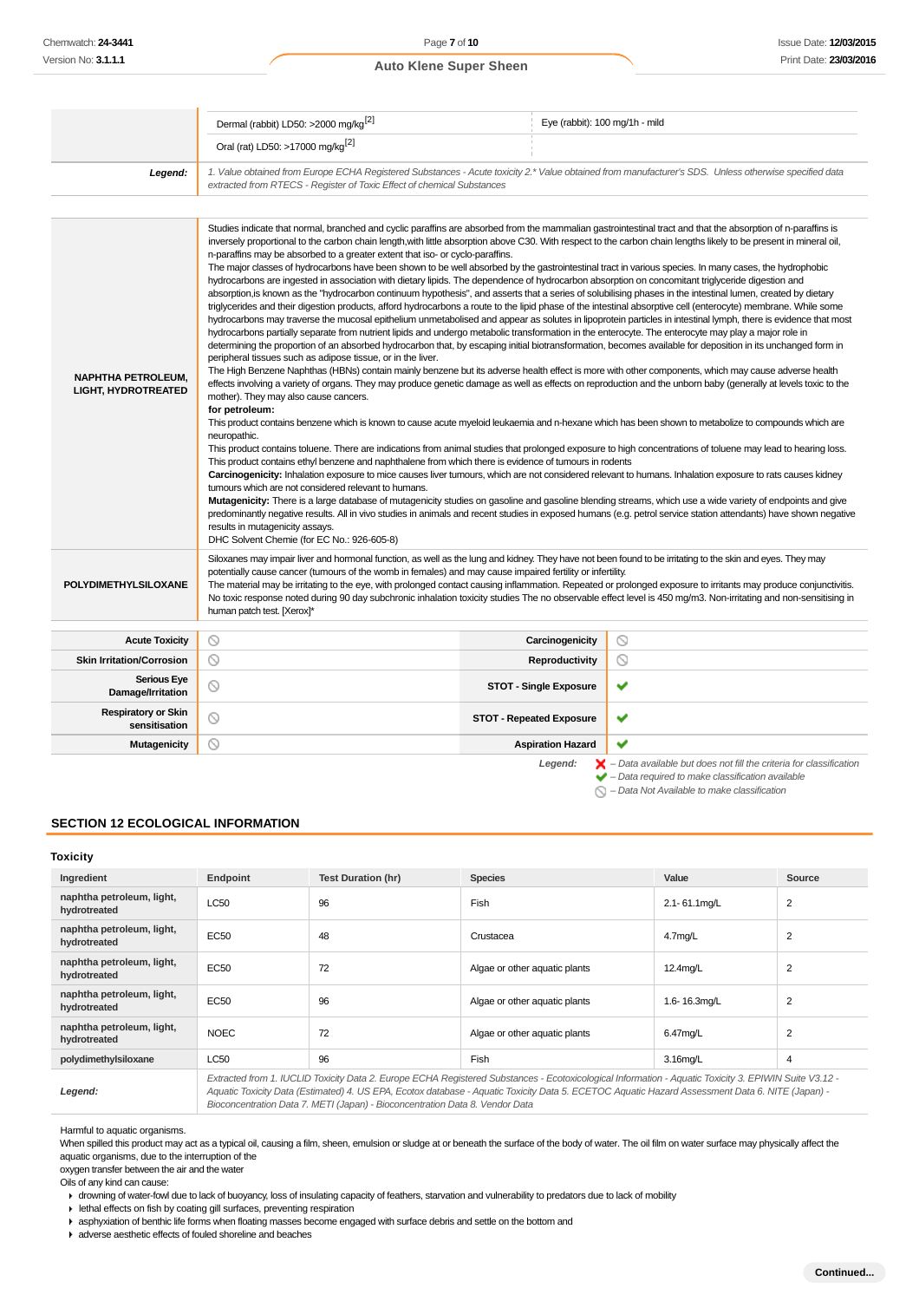|                                                         | Dermal (rabbit) LD50: >2000 mg/kg <sup>[2]</sup><br>Eye (rabbit): 100 mg/1h - mild                                                                                                                                                                                                                                                                                                                                                                                                                                                                                                                                                                                                                                                                                                                                                                                                                                                                                                                                                                                                                                                                                                                                                                                                                                                                                                                                                                                                                                                                                                                                                                                                                                                                                                                                                                                                                                                                                                                                                                                                                                                                                                                                                                                                                                                                                                                                                                                                                                                                                                                                                                                                                                                                                                                                                                                                                                                         |                                 |                                                                                                                                                       |  |  |  |
|---------------------------------------------------------|--------------------------------------------------------------------------------------------------------------------------------------------------------------------------------------------------------------------------------------------------------------------------------------------------------------------------------------------------------------------------------------------------------------------------------------------------------------------------------------------------------------------------------------------------------------------------------------------------------------------------------------------------------------------------------------------------------------------------------------------------------------------------------------------------------------------------------------------------------------------------------------------------------------------------------------------------------------------------------------------------------------------------------------------------------------------------------------------------------------------------------------------------------------------------------------------------------------------------------------------------------------------------------------------------------------------------------------------------------------------------------------------------------------------------------------------------------------------------------------------------------------------------------------------------------------------------------------------------------------------------------------------------------------------------------------------------------------------------------------------------------------------------------------------------------------------------------------------------------------------------------------------------------------------------------------------------------------------------------------------------------------------------------------------------------------------------------------------------------------------------------------------------------------------------------------------------------------------------------------------------------------------------------------------------------------------------------------------------------------------------------------------------------------------------------------------------------------------------------------------------------------------------------------------------------------------------------------------------------------------------------------------------------------------------------------------------------------------------------------------------------------------------------------------------------------------------------------------------------------------------------------------------------------------------------------------|---------------------------------|-------------------------------------------------------------------------------------------------------------------------------------------------------|--|--|--|
|                                                         | Oral (rat) LD50: >17000 mg/kg <sup>[2]</sup>                                                                                                                                                                                                                                                                                                                                                                                                                                                                                                                                                                                                                                                                                                                                                                                                                                                                                                                                                                                                                                                                                                                                                                                                                                                                                                                                                                                                                                                                                                                                                                                                                                                                                                                                                                                                                                                                                                                                                                                                                                                                                                                                                                                                                                                                                                                                                                                                                                                                                                                                                                                                                                                                                                                                                                                                                                                                                               |                                 |                                                                                                                                                       |  |  |  |
| Legend:                                                 | extracted from RTECS - Register of Toxic Effect of chemical Substances                                                                                                                                                                                                                                                                                                                                                                                                                                                                                                                                                                                                                                                                                                                                                                                                                                                                                                                                                                                                                                                                                                                                                                                                                                                                                                                                                                                                                                                                                                                                                                                                                                                                                                                                                                                                                                                                                                                                                                                                                                                                                                                                                                                                                                                                                                                                                                                                                                                                                                                                                                                                                                                                                                                                                                                                                                                                     |                                 | 1. Value obtained from Europe ECHA Registered Substances - Acute toxicity 2.* Value obtained from manufacturer's SDS. Unless otherwise specified data |  |  |  |
|                                                         |                                                                                                                                                                                                                                                                                                                                                                                                                                                                                                                                                                                                                                                                                                                                                                                                                                                                                                                                                                                                                                                                                                                                                                                                                                                                                                                                                                                                                                                                                                                                                                                                                                                                                                                                                                                                                                                                                                                                                                                                                                                                                                                                                                                                                                                                                                                                                                                                                                                                                                                                                                                                                                                                                                                                                                                                                                                                                                                                            |                                 |                                                                                                                                                       |  |  |  |
| <b>NAPHTHA PETROLEUM,</b><br><b>LIGHT, HYDROTREATED</b> | inversely proportional to the carbon chain length, with little absorption above C30. With respect to the carbon chain lengths likely to be present in mineral oil,<br>n-paraffins may be absorbed to a greater extent that iso- or cyclo-paraffins.<br>The major classes of hydrocarbons have been shown to be well absorbed by the gastrointestinal tract in various species. In many cases, the hydrophobic<br>hydrocarbons are ingested in association with dietary lipids. The dependence of hydrocarbon absorption on concomitant triglyceride digestion and<br>absorption, is known as the "hydrocarbon continuum hypothesis", and asserts that a series of solubilising phases in the intestinal lumen, created by dietary<br>triglycerides and their digestion products, afford hydrocarbons a route to the lipid phase of the intestinal absorptive cell (enterocyte) membrane. While some<br>hydrocarbons may traverse the mucosal epithelium unmetabolised and appear as solutes in lipoprotein particles in intestinal lymph, there is evidence that most<br>hydrocarbons partially separate from nutrient lipids and undergo metabolic transformation in the enterocyte. The enterocyte may play a major role in<br>determining the proportion of an absorbed hydrocarbon that, by escaping initial biotransformation, becomes available for deposition in its unchanged form in<br>peripheral tissues such as adipose tissue, or in the liver.<br>The High Benzene Naphthas (HBNs) contain mainly benzene but its adverse health effect is more with other components, which may cause adverse health<br>effects involving a variety of organs. They may produce genetic damage as well as effects on reproduction and the unborn baby (generally at levels toxic to the<br>mother). They may also cause cancers.<br>for petroleum:<br>This product contains benzene which is known to cause acute myeloid leukaemia and n-hexane which has been shown to metabolize to compounds which are<br>neuropathic.<br>This product contains toluene. There are indications from animal studies that prolonged exposure to high concentrations of toluene may lead to hearing loss.<br>This product contains ethyl benzene and naphthalene from which there is evidence of tumours in rodents<br>Carcinogenicity: Inhalation exposure to mice causes liver tumours, which are not considered relevant to humans. Inhalation exposure to rats causes kidney<br>tumours which are not considered relevant to humans.<br>Mutagenicity: There is a large database of mutagenicity studies on gasoline and gasoline blending streams, which use a wide variety of endpoints and give<br>predominantly negative results. All in vivo studies in animals and recent studies in exposed humans (e.g. petrol service station attendants) have shown negative<br>results in mutagenicity assays.<br>DHC Solvent Chemie (for EC No.: 926-605-8) |                                 |                                                                                                                                                       |  |  |  |
| <b>POLYDIMETHYLSILOXANE</b>                             | Siloxanes may impair liver and hormonal function, as well as the lung and kidney. They have not been found to be irritating to the skin and eyes. They may<br>potentially cause cancer (tumours of the womb in females) and may cause impaired fertility or infertility.<br>The material may be irritating to the eye, with prolonged contact causing inflammation. Repeated or prolonged exposure to irritants may produce conjunctivitis.<br>No toxic response noted during 90 day subchronic inhalation toxicity studies The no observable effect level is 450 mg/m3. Non-irritating and non-sensitising in<br>human patch test. [Xerox]*                                                                                                                                                                                                                                                                                                                                                                                                                                                                                                                                                                                                                                                                                                                                                                                                                                                                                                                                                                                                                                                                                                                                                                                                                                                                                                                                                                                                                                                                                                                                                                                                                                                                                                                                                                                                                                                                                                                                                                                                                                                                                                                                                                                                                                                                                               |                                 |                                                                                                                                                       |  |  |  |
| <b>Acute Toxicity</b>                                   | ல                                                                                                                                                                                                                                                                                                                                                                                                                                                                                                                                                                                                                                                                                                                                                                                                                                                                                                                                                                                                                                                                                                                                                                                                                                                                                                                                                                                                                                                                                                                                                                                                                                                                                                                                                                                                                                                                                                                                                                                                                                                                                                                                                                                                                                                                                                                                                                                                                                                                                                                                                                                                                                                                                                                                                                                                                                                                                                                                          | Carcinogenicity                 | $\circ$                                                                                                                                               |  |  |  |
| <b>Skin Irritation/Corrosion</b>                        | ⊙                                                                                                                                                                                                                                                                                                                                                                                                                                                                                                                                                                                                                                                                                                                                                                                                                                                                                                                                                                                                                                                                                                                                                                                                                                                                                                                                                                                                                                                                                                                                                                                                                                                                                                                                                                                                                                                                                                                                                                                                                                                                                                                                                                                                                                                                                                                                                                                                                                                                                                                                                                                                                                                                                                                                                                                                                                                                                                                                          | <b>Reproductivity</b>           | O                                                                                                                                                     |  |  |  |
| <b>Serious Eye</b><br>Damage/Irritation                 | ◎                                                                                                                                                                                                                                                                                                                                                                                                                                                                                                                                                                                                                                                                                                                                                                                                                                                                                                                                                                                                                                                                                                                                                                                                                                                                                                                                                                                                                                                                                                                                                                                                                                                                                                                                                                                                                                                                                                                                                                                                                                                                                                                                                                                                                                                                                                                                                                                                                                                                                                                                                                                                                                                                                                                                                                                                                                                                                                                                          | <b>STOT - Single Exposure</b>   | ✔                                                                                                                                                     |  |  |  |
| <b>Respiratory or Skin</b><br>sensitisation             | ல                                                                                                                                                                                                                                                                                                                                                                                                                                                                                                                                                                                                                                                                                                                                                                                                                                                                                                                                                                                                                                                                                                                                                                                                                                                                                                                                                                                                                                                                                                                                                                                                                                                                                                                                                                                                                                                                                                                                                                                                                                                                                                                                                                                                                                                                                                                                                                                                                                                                                                                                                                                                                                                                                                                                                                                                                                                                                                                                          | <b>STOT - Repeated Exposure</b> | ✔                                                                                                                                                     |  |  |  |
| <b>Mutagenicity</b>                                     | ⊙                                                                                                                                                                                                                                                                                                                                                                                                                                                                                                                                                                                                                                                                                                                                                                                                                                                                                                                                                                                                                                                                                                                                                                                                                                                                                                                                                                                                                                                                                                                                                                                                                                                                                                                                                                                                                                                                                                                                                                                                                                                                                                                                                                                                                                                                                                                                                                                                                                                                                                                                                                                                                                                                                                                                                                                                                                                                                                                                          | <b>Aspiration Hazard</b>        |                                                                                                                                                       |  |  |  |
|                                                         |                                                                                                                                                                                                                                                                                                                                                                                                                                                                                                                                                                                                                                                                                                                                                                                                                                                                                                                                                                                                                                                                                                                                                                                                                                                                                                                                                                                                                                                                                                                                                                                                                                                                                                                                                                                                                                                                                                                                                                                                                                                                                                                                                                                                                                                                                                                                                                                                                                                                                                                                                                                                                                                                                                                                                                                                                                                                                                                                            | Legend:                         | $\blacktriangleright$ - Data available but does not fill the criteria for classification<br>Data required to make elegation in milable                |  |  |  |

– Data required to make classification available

 $\bigcirc$  – Data Not Available to make classification

#### **SECTION 12 ECOLOGICAL INFORMATION**

## **Toxicity**

| יייייי                                    |             |                           |                                                                                                                                                                                                                                                                                                          |              |                |
|-------------------------------------------|-------------|---------------------------|----------------------------------------------------------------------------------------------------------------------------------------------------------------------------------------------------------------------------------------------------------------------------------------------------------|--------------|----------------|
| Ingredient                                | Endpoint    | <b>Test Duration (hr)</b> | <b>Species</b>                                                                                                                                                                                                                                                                                           | Value        | Source         |
| naphtha petroleum, light,<br>hydrotreated | <b>LC50</b> | 96                        | Fish                                                                                                                                                                                                                                                                                                     | 2.1-61.1mg/L | $\overline{2}$ |
| naphtha petroleum, light,<br>hydrotreated | <b>EC50</b> | 48                        | Crustacea                                                                                                                                                                                                                                                                                                | 4.7mg/L      | $\overline{2}$ |
| naphtha petroleum, light,<br>hydrotreated | EC50        | 72                        | Algae or other aquatic plants                                                                                                                                                                                                                                                                            | 12.4mg/L     | $\overline{2}$ |
| naphtha petroleum, light,<br>hydrotreated | EC50        | 96                        | Algae or other aquatic plants                                                                                                                                                                                                                                                                            | 1.6-16.3mg/L | $\overline{2}$ |
| naphtha petroleum, light,<br>hydrotreated | <b>NOEC</b> | 72                        | Algae or other aquatic plants                                                                                                                                                                                                                                                                            | 6.47mg/L     | 2              |
| polydimethylsiloxane                      | <b>LC50</b> | 96                        | Fish                                                                                                                                                                                                                                                                                                     | 3.16mg/L     | 4              |
| Legend:                                   |             |                           | Extracted from 1. IUCLID Toxicity Data 2. Europe ECHA Registered Substances - Ecotoxicological Information - Aquatic Toxicity 3. EPIWIN Suite V3.12 -<br>Aquatic Toxicity Data (Estimated) 4. US EPA, Ecotox database - Aquatic Toxicity Data 5. ECETOC Aquatic Hazard Assessment Data 6. NITE (Japan) - |              |                |

Aquatic Toxicity Data (Estimated) 4. US EPA, Ecotox database - Aquatic Toxicity Data 5. ECETOC Aquatic Hazard Assessment Data 6. NITE (Japan) - Bioconcentration Data 7. METI (Japan) - Bioconcentration Data 8. Vendor Data

Harmful to aquatic organisms.

When spilled this product may act as a typical oil, causing a film, sheen, emulsion or sludge at or beneath the surface of the body of water. The oil film on water surface may physically affect the aquatic organisms, due to the interruption of the

oxygen transfer between the air and the water

Oils of any kind can cause:

drowning of water-fowl due to lack of buoyancy, loss of insulating capacity of feathers, starvation and vulnerability to predators due to lack of mobility  $\blacktriangleright$  lethal effects on fish by coating gill surfaces, preventing respiration

asphyxiation of benthic life forms when floating masses become engaged with surface debris and settle on the bottom and

adverse aesthetic effects of fouled shoreline and beaches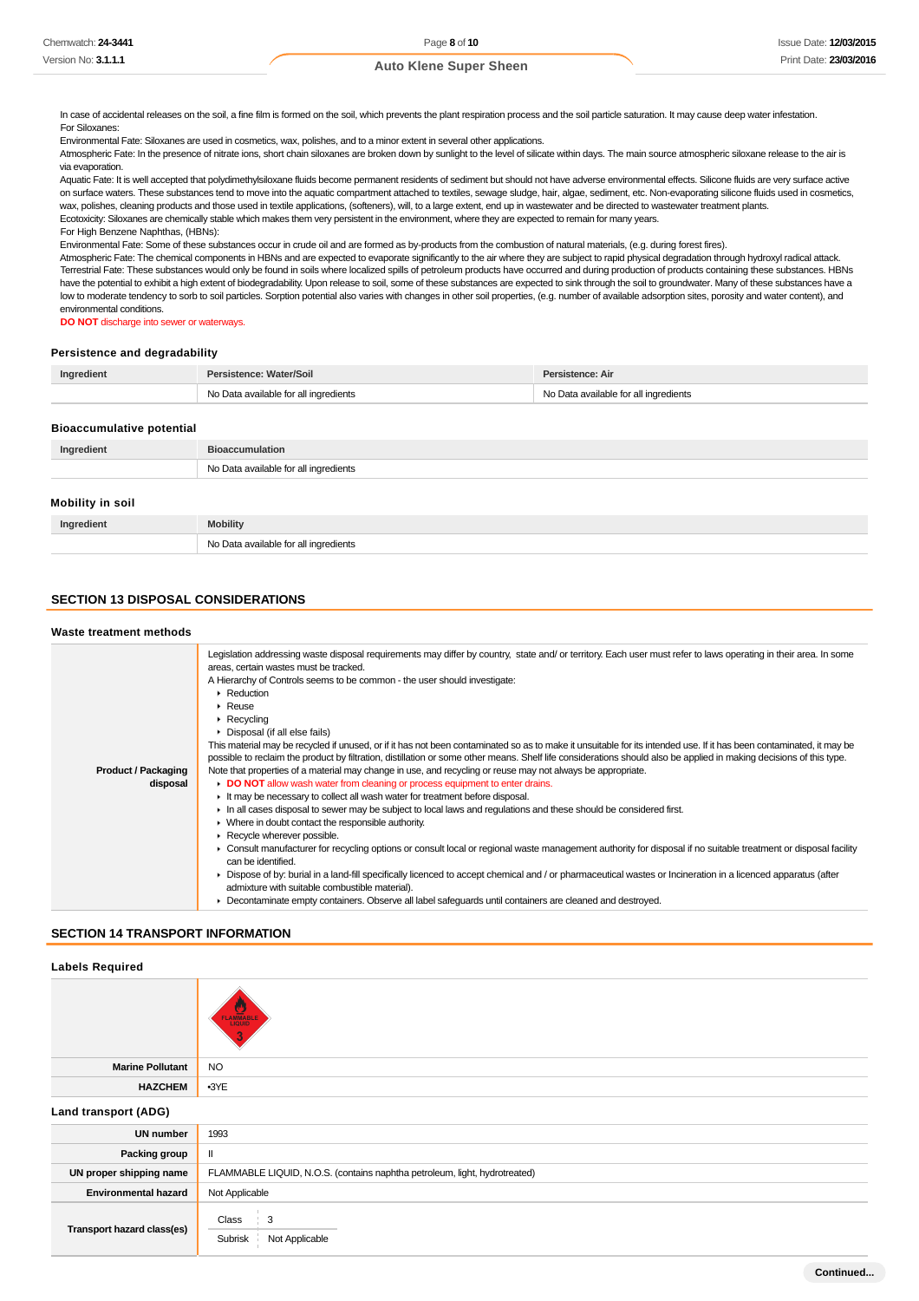In case of accidental releases on the soil, a fine film is formed on the soil, which prevents the plant respiration process and the soil particle saturation. It may cause deep water infestation. For Siloxanes:

Environmental Fate: Siloxanes are used in cosmetics, wax, polishes, and to a minor extent in several other applications.

Atmospheric Fate: In the presence of nitrate ions, short chain siloxanes are broken down by sunlight to the level of silicate within days. The main source atmospheric siloxane release to the air is via evaporation.

Aquatic Fate: It is well accepted that polydimethylsiloxane fluids become permanent residents of sediment but should not have adverse environmental effects. Silicone fluids are very surface active on surface waters. These substances tend to move into the aquatic compartment attached to textiles, sewage sludge, hair, algae, sediment, etc. Non-evaporating silicone fluids used in cosmetics, wax, polishes, cleaning products and those used in textile applications, (softeners), will, to a large extent, end up in wastewater and be directed to wastewater treatment plants. Ecotoxicity: Siloxanes are chemically stable which makes them very persistent in the environment, where they are expected to remain for many years. For High Benzene Naphthas, (HBNs):

Environmental Fate: Some of these substances occur in crude oil and are formed as by-products from the combustion of natural materials, (e.g. during forest fires).

Atmospheric Fate: The chemical components in HBNs and are expected to evaporate significantly to the air where they are subject to rapid physical degradation through hydroxyl radical attack. Terrestrial Fate: These substances would only be found in soils where localized spills of petroleum products have occurred and during production of products containing these substances. HBNs have the potential to exhibit a high extent of biodegradability. Upon release to soil, some of these substances are expected to sink through the soil to groundwater. Many of these substances have a low to moderate tendency to sorb to soil particles. Sorption potential also varies with changes in other soil properties, (e.g. number of available adsorption sites, porosity and water content), and environmental conditions.

**DO NOT** discharge into sewer or waterways.

#### **Persistence and degradability**

| Ingredient | Persistence: Water/Soil               | Persistence: Air                      |
|------------|---------------------------------------|---------------------------------------|
|            | No Data available for all ingredients | No Data available for all ingredients |

#### **Bioaccumulative potential**

| Ingredient       | <b>Bioaccumulation</b>                |  |
|------------------|---------------------------------------|--|
|                  | No Data available for all ingredients |  |
| Mobility in soil |                                       |  |
| Ingredient       | <b>Mobility</b>                       |  |
|                  | No Data available for all ingredients |  |

## **SECTION 13 DISPOSAL CONSIDERATIONS**

#### **Waste treatment methods**

|                            | Legislation addressing waste disposal requirements may differ by country, state and/ or territory. Each user must refer to laws operating in their area. In some     |
|----------------------------|----------------------------------------------------------------------------------------------------------------------------------------------------------------------|
|                            | areas, certain wastes must be tracked.                                                                                                                               |
|                            | A Hierarchy of Controls seems to be common - the user should investigate:                                                                                            |
|                            | Reduction                                                                                                                                                            |
|                            | $\triangleright$ Reuse                                                                                                                                               |
|                            | $\triangleright$ Recycling                                                                                                                                           |
|                            | • Disposal (if all else fails)                                                                                                                                       |
|                            | This material may be recycled if unused, or if it has not been contaminated so as to make it unsuitable for its intended use. If it has been contaminated, it may be |
|                            | possible to reclaim the product by filtration, distillation or some other means. Shelf life considerations should also be applied in making decisions of this type.  |
| <b>Product / Packaging</b> | Note that properties of a material may change in use, and recycling or reuse may not always be appropriate.                                                          |
| disposal                   | DO NOT allow wash water from cleaning or process equipment to enter drains.                                                                                          |
|                            | It may be necessary to collect all wash water for treatment before disposal.                                                                                         |
|                            | In all cases disposal to sewer may be subject to local laws and regulations and these should be considered first.                                                    |
|                            | • Where in doubt contact the responsible authority.                                                                                                                  |
|                            | Recycle wherever possible.                                                                                                                                           |
|                            | ► Consult manufacturer for recycling options or consult local or regional waste management authority for disposal if no suitable treatment or disposal facility      |
|                            | can be identified.                                                                                                                                                   |
|                            | ► Dispose of by: burial in a land-fill specifically licenced to accept chemical and / or pharmaceutical wastes or Incineration in a licenced apparatus (after        |
|                            | admixture with suitable combustible material).                                                                                                                       |
|                            | Decontaminate empty containers. Observe all label safeguards until containers are cleaned and destroyed.                                                             |
|                            |                                                                                                                                                                      |

### **SECTION 14 TRANSPORT INFORMATION**

**Labels Required**

**Marine Pollutant** NO **HAZCHEM** •3YE **Land transport (ADG) UN number** 1993 **Packing group** | II **UN proper shipping name** FLAMMABLE LIQUID, N.O.S. (contains naphtha petroleum, light, hydrotreated) **Environmental hazard** Not Applicable **Transport hazard class(es)** Class 3 Subrisk Not Applicable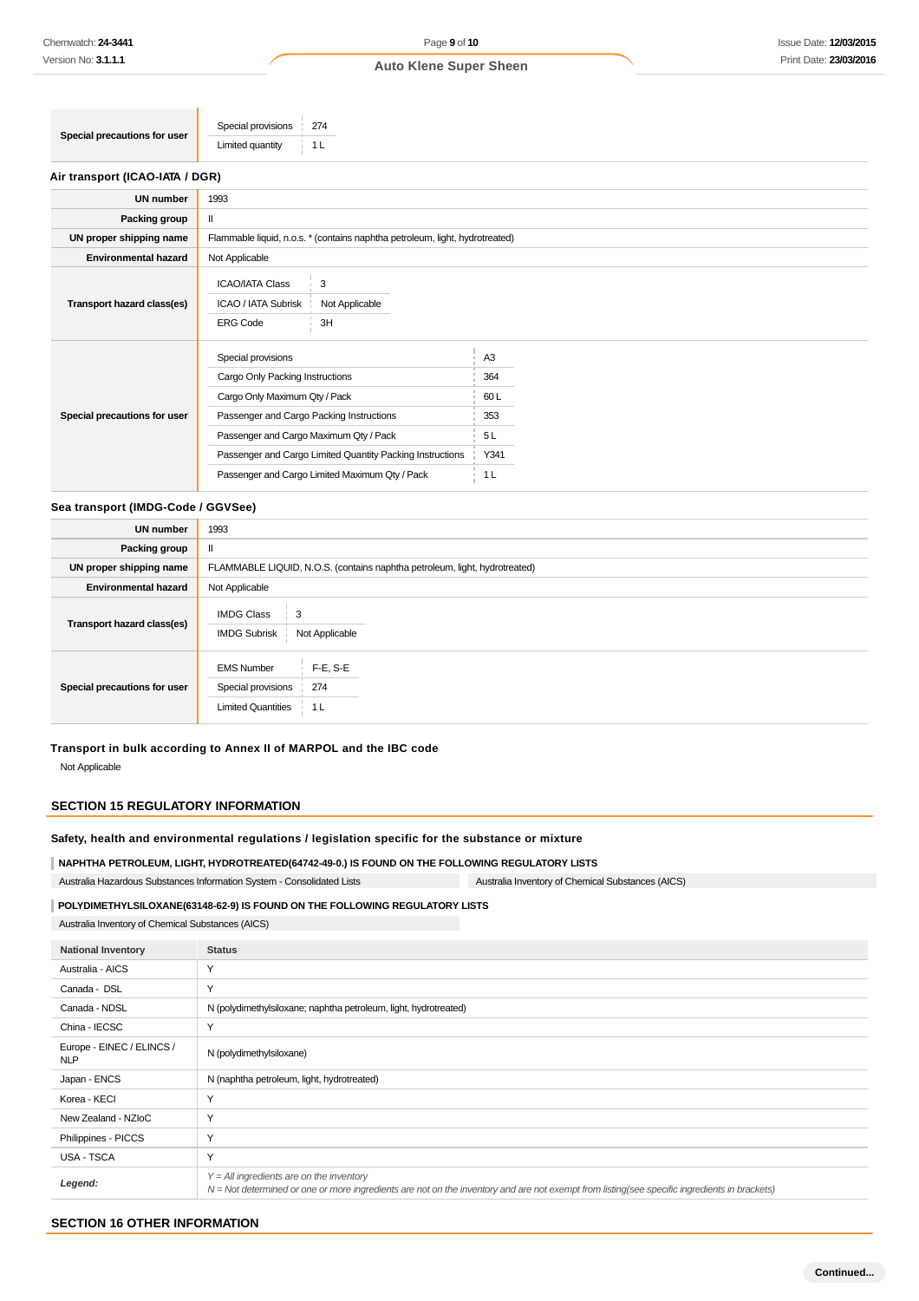| Limited quantity | Special precautions for user | Special provisions<br>274 |  |
|------------------|------------------------------|---------------------------|--|
|                  |                              |                           |  |

**Contract Contract** 

| Air transport (ICAO-IATA / DGR) |                                                                              |                |                |  |  |  |
|---------------------------------|------------------------------------------------------------------------------|----------------|----------------|--|--|--|
| <b>UN number</b>                | 1993                                                                         |                |                |  |  |  |
| Packing group                   | $\mathbf{I}$                                                                 |                |                |  |  |  |
| UN proper shipping name         | Flammable liquid, n.o.s. * (contains naphtha petroleum, light, hydrotreated) |                |                |  |  |  |
| <b>Environmental hazard</b>     | Not Applicable                                                               |                |                |  |  |  |
|                                 | <b>ICAO/IATA Class</b>                                                       | 3              |                |  |  |  |
| Transport hazard class(es)      | ICAO / IATA Subrisk                                                          | Not Applicable |                |  |  |  |
|                                 | <b>ERG Code</b>                                                              | 3H             |                |  |  |  |
|                                 | Special provisions                                                           |                | A <sub>3</sub> |  |  |  |
| Special precautions for user    | Cargo Only Packing Instructions                                              |                | 364            |  |  |  |
|                                 | Cargo Only Maximum Qty / Pack                                                |                | 60L            |  |  |  |
|                                 | Passenger and Cargo Packing Instructions                                     |                | 353            |  |  |  |
|                                 | Passenger and Cargo Maximum Qty / Pack                                       |                | 5L             |  |  |  |
|                                 | Passenger and Cargo Limited Quantity Packing Instructions                    |                | Y341           |  |  |  |
|                                 | Passenger and Cargo Limited Maximum Qty / Pack                               |                | 1 <sub>L</sub> |  |  |  |

#### **Sea transport (IMDG-Code / GGVSee)**

| <b>UN number</b>             | 1993                                                                                              |
|------------------------------|---------------------------------------------------------------------------------------------------|
| Packing group                | $\mathbf{I}$                                                                                      |
| UN proper shipping name      | FLAMMABLE LIQUID, N.O.S. (contains naphtha petroleum, light, hydrotreated)                        |
| <b>Environmental hazard</b>  | Not Applicable                                                                                    |
| Transport hazard class(es)   | <b>IMDG Class</b><br>3<br>Not Applicable<br><b>IMDG Subrisk</b>                                   |
| Special precautions for user | $F-E$ , S-E<br><b>EMS Number</b><br>274<br>Special provisions<br><b>Limited Quantities</b><br>1 L |

## **Transport in bulk according to Annex II of MARPOL and the IBC code** Not Applicable

## **SECTION 15 REGULATORY INFORMATION**

## **Safety, health and environmental regulations / legislation specific for the substance or mixture**

**NAPHTHA PETROLEUM, LIGHT, HYDROTREATED(64742-49-0.) IS FOUND ON THE FOLLOWING REGULATORY LISTS** Australia Hazardous Substances Information System - Consolidated Lists Australia Inventory of Chemical Substances (AICS)

#### **POLYDIMETHYLSILOXANE(63148-62-9) IS FOUND ON THE FOLLOWING REGULATORY LISTS**

Australia Inventory of Chemical Substances (AICS)

| <b>National Inventory</b>               | <b>Status</b>                                                                                                                                                                              |
|-----------------------------------------|--------------------------------------------------------------------------------------------------------------------------------------------------------------------------------------------|
| Australia - AICS                        | Y                                                                                                                                                                                          |
| Canada - DSL                            | Y                                                                                                                                                                                          |
| Canada - NDSL                           | N (polydimethylsiloxane; naphtha petroleum, light, hydrotreated)                                                                                                                           |
| China - IECSC                           | Y                                                                                                                                                                                          |
| Europe - EINEC / ELINCS /<br><b>NLP</b> | N (polydimethylsiloxane)                                                                                                                                                                   |
| Japan - ENCS                            | N (naphtha petroleum, light, hydrotreated)                                                                                                                                                 |
| Korea - KECI                            | Y                                                                                                                                                                                          |
| New Zealand - NZIoC                     | Y                                                                                                                                                                                          |
| Philippines - PICCS                     | Y                                                                                                                                                                                          |
| USA - TSCA                              | Y                                                                                                                                                                                          |
| Legend:                                 | $Y = All$ ingredients are on the inventory<br>N = Not determined or one or more ingredients are not on the inventory and are not exempt from listing(see specific ingredients in brackets) |

#### **SECTION 16 OTHER INFORMATION**